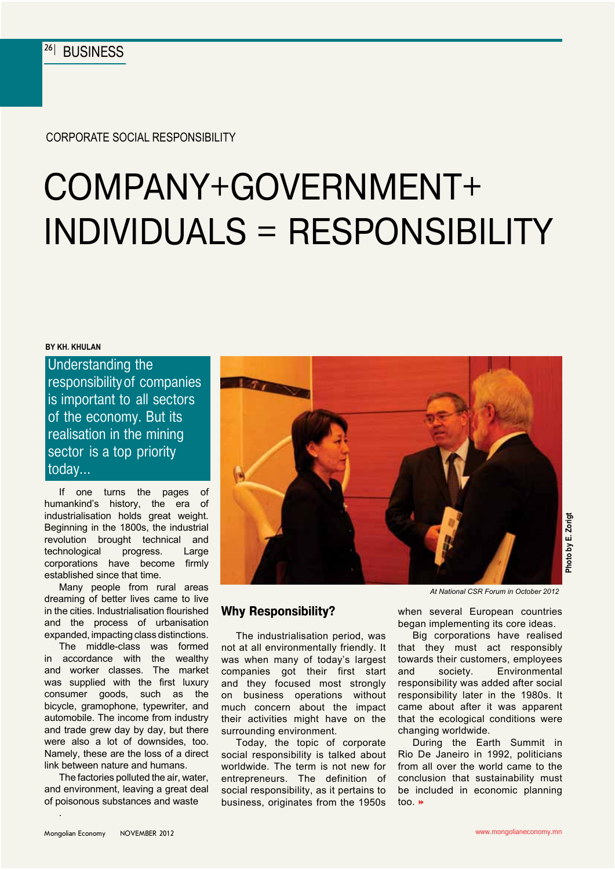Corporate Social Responsibility

# Company+Government+ Individuals = Responsibility

#### **By Kh. Khulan**

Understanding the responsibility of companies is important to all sectors of the economy. But its realisation in the mining sector is a top priority today…

If one turns the pages of humankind's history, the era of industrialisation holds great weight. Beginning in the 1800s, the industrial revolution brought technical and technological progress. Large corporations have become firmly established since that time.

Many people from rural areas dreaming of better lives came to live in the cities. Industrialisation flourished and the process of urbanisation expanded, impacting class distinctions.

The middle-class was formed in accordance with the wealthy and worker classes. The market was supplied with the first luxury consumer goods, such as the bicycle, gramophone, typewriter, and automobile. The income from industry and trade grew day by day, but there were also a lot of downsides, too. Namely, these are the loss of a direct link between nature and humans.

The factories polluted the air, water, and environment, leaving a great deal of poisonous substances and waste



### **Why Responsibility?**

The industrialisation period, was not at all environmentally friendly. It was when many of today's largest companies got their first start and they focused most strongly on business operations without much concern about the impact their activities might have on the surrounding environment.

Today, the topic of corporate social responsibility is talked about worldwide. The term is not new for entrepreneurs. The definition of social responsibility, as it pertains to business, originates from the 1950s

*At National CSR Forum in October 2012*

**Photo by E. Zorigt**

when several European countries began implementing its core ideas.

Big corporations have realised that they must act responsibly towards their customers, employees and society. Environmental responsibility was added after social responsibility later in the 1980s. It came about after it was apparent that the ecological conditions were changing worldwide.

During the Earth Summit in Rio De Janeiro in 1992, politicians from all over the world came to the conclusion that sustainability must be included in economic planning too. »

.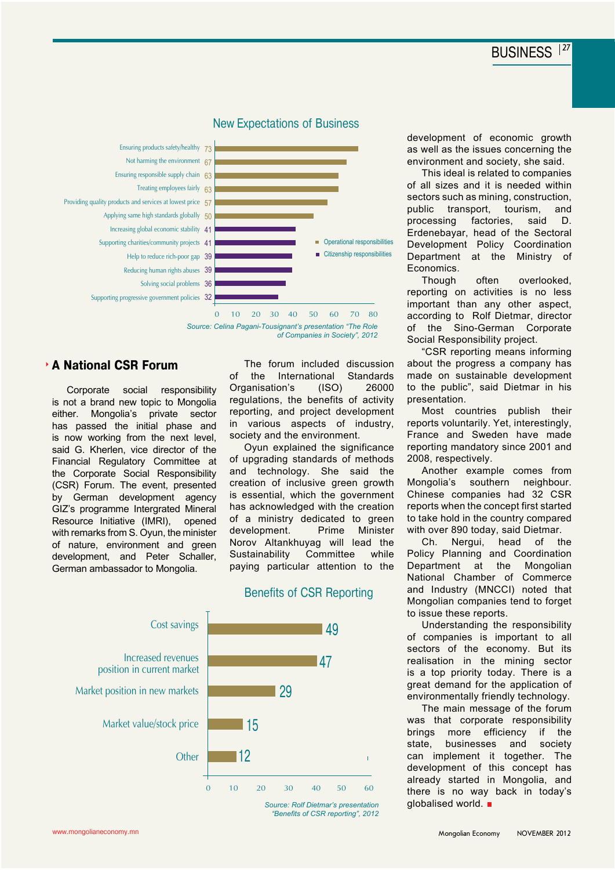

#### New Expectations of Business



#### **A National CSR Forum**

Corporate social responsibility is not a brand new topic to Mongolia either. Mongolia's private sector has passed the initial phase and is now working from the next level, said G. Kherlen, vice director of the Financial Regulatory Committee at the Corporate Social Responsibility (CSR) Forum. The event, presented by German development agency GIZ's programme Intergrated Mineral Resource Initiative (IMRI), opened with remarks from S. Oyun, the minister of nature, environment and green development, and Peter Schaller, German ambassador to Mongolia.

The forum included discussion of the International Standards Organisation's (ISO) 26000 regulations, the benefits of activity reporting, and project development in various aspects of industry, society and the environment.

Oyun explained the significance of upgrading standards of methods and technology. She said the creation of inclusive green growth is essential, which the government has acknowledged with the creation of a ministry dedicated to green development. Prime Minister Norov Altankhuyag will lead the Sustainability Committee while paying particular attention to the

Benefits of CSR Reporting



*Source: Rolf Dietmar's presentation "Benefits of CSR reporting", 2012* development of economic growth as well as the issues concerning the environment and society, she said.

This ideal is related to companies of all sizes and it is needed within sectors such as mining, construction, public transport, tourism, and processing factories, said D. Erdenebayar, head of the Sectoral Development Policy Coordination Department at the Ministry of Economics.

Though often overlooked, reporting on activities is no less important than any other aspect, according to Rolf Dietmar, director of the Sino-German Corporate Social Responsibility project.

"CSR reporting means informing about the progress a company has made on sustainable development to the public", said Dietmar in his presentation.

Most countries publish their reports voluntarily. Yet, interestingly, France and Sweden have made reporting mandatory since 2001 and 2008, respectively.

Another example comes from Mongolia's southern neighbour. Chinese companies had 32 CSR reports when the concept first started to take hold in the country compared with over 890 today, said Dietmar.

Ch. Nergui, head of the Policy Planning and Coordination Department at the Mongolian National Chamber of Commerce and Industry (MNCCI) noted that Mongolian companies tend to forget to issue these reports.

Understanding the responsibility of companies is important to all sectors of the economy. But its realisation in the mining sector is a top priority today. There is a great demand for the application of environmentally friendly technology.

The main message of the forum was that corporate responsibility brings more efficiency if the state, businesses and society can implement it together. The development of this concept has already started in Mongolia, and there is no way back in today's globalised world.